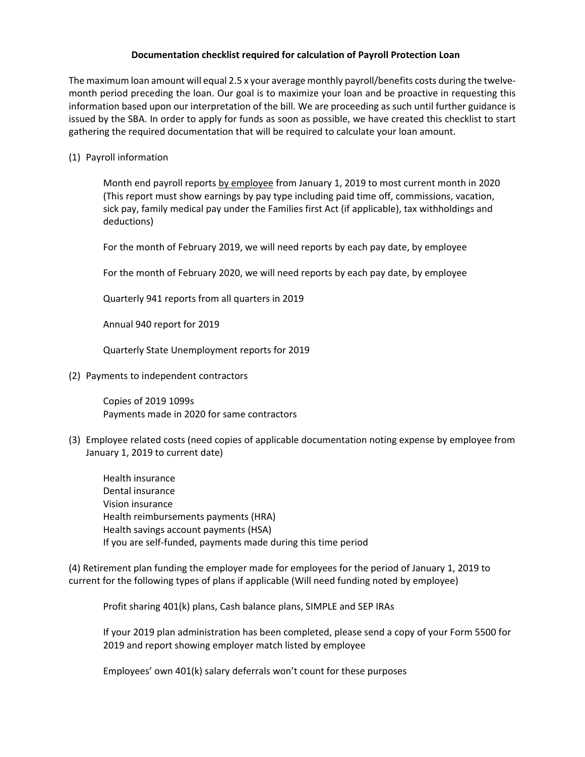## **Documentation checklist required for calculation of Payroll Protection Loan**

The maximum loan amount will equal 2.5 x your average monthly payroll/benefits costs during the twelve‐ month period preceding the loan. Our goal is to maximize your loan and be proactive in requesting this information based upon our interpretation of the bill. We are proceeding as such until further guidance is issued by the SBA. In order to apply for funds as soon as possible, we have created this checklist to start gathering the required documentation that will be required to calculate your loan amount.

(1) Payroll information

Month end payroll reports by employee from January 1, 2019 to most current month in 2020 (This report must show earnings by pay type including paid time off, commissions, vacation, sick pay, family medical pay under the Families first Act (if applicable), tax withholdings and deductions)

For the month of February 2019, we will need reports by each pay date, by employee

For the month of February 2020, we will need reports by each pay date, by employee

Quarterly 941 reports from all quarters in 2019

Annual 940 report for 2019

Quarterly State Unemployment reports for 2019

(2) Payments to independent contractors

Copies of 2019 1099s Payments made in 2020 for same contractors

(3) Employee related costs (need copies of applicable documentation noting expense by employee from January 1, 2019 to current date)

Health insurance Dental insurance Vision insurance Health reimbursements payments (HRA) Health savings account payments (HSA) If you are self‐funded, payments made during this time period

(4) Retirement plan funding the employer made for employees for the period of January 1, 2019 to current for the following types of plans if applicable (Will need funding noted by employee)

Profit sharing 401(k) plans, Cash balance plans, SIMPLE and SEP IRAs

If your 2019 plan administration has been completed, please send a copy of your Form 5500 for 2019 and report showing employer match listed by employee

Employees' own 401(k) salary deferrals won't count for these purposes